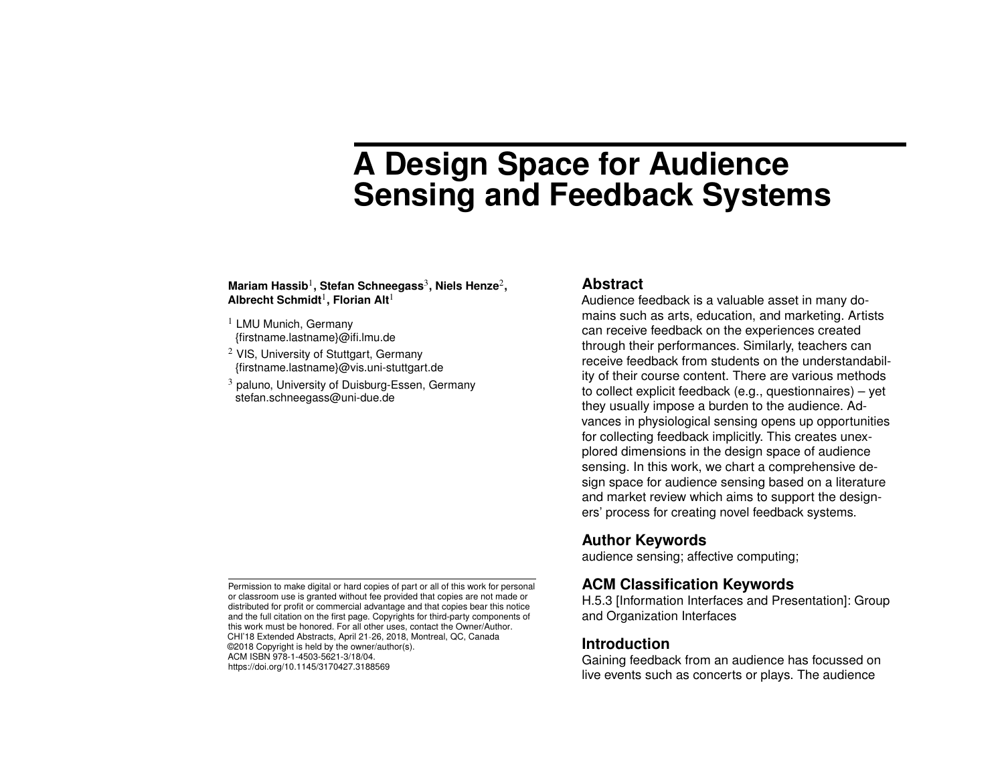# **A Design Space for Audience Sensing and Feedback Systems**

## **Mariam Hassib**<sup>1</sup> **, Stefan Schneegass**<sup>3</sup> **, Niels Henze**<sup>2</sup> **, Albrecht Schmidt**<sup>1</sup> **, Florian Alt**<sup>1</sup>

- <sup>1</sup> LMU Munich, Germany {firstname.lastname}@ifi.lmu.de
- <sup>2</sup> VIS, University of Stuttgart, Germany {firstname.lastname}@vis.uni-stuttgart.de
- $3$  paluno, University of Duisburg-Essen, Germany stefan.schneegass@uni-due.de

#### Permission to make digital or hard copies of part or all of this work for personal or classroom use is granted without fee provided that copies are not made or distributed for profit or commercial advantage and that copies bear this notice and the full citation on the first page. Copyrights for third-party components of this work must be honored. For all other uses, contact the Owner/Author. CHI'18 Extended Abstracts, April 21-26, 2018, Montreal, QC, Canada ©2018 Copyright is held by the owner/author(s). ACM ISBN 978-1-4503-5621-3/18/04. https://doi.org/10.1145/3170427.3188569

# **Abstract**

Audience feedback is a valuable asset in many domains such as arts, education, and marketing. Artists can receive feedback on the experiences created through their performances. Similarly, teachers can receive feedback from students on the understandability of their course content. There are various methods to collect explicit feedback (e.g., questionnaires) – yet they usually impose a burden to the audience. Advances in physiological sensing opens up opportunities for collecting feedback implicitly. This creates unexplored dimensions in the design space of audience sensing. In this work, we chart a comprehensive design space for audience sensing based on a literature and market review which aims to support the designers' process for creating novel feedback systems.

# **Author Keywords**

audience sensing; affective computing;

# **ACM Classification Keywords**

H.5.3 [Information Interfaces and Presentation]: Group and Organization Interfaces

# **Introduction**

Gaining feedback from an audience has focussed on live events such as concerts or plays. The audience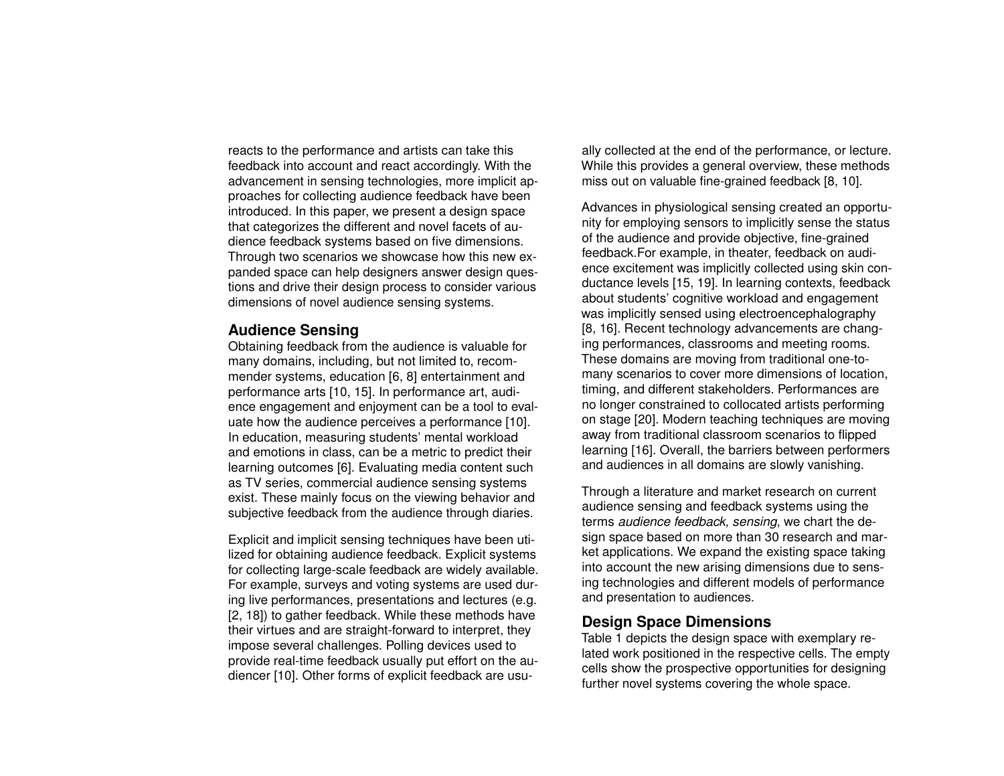reacts to the performance and artists can take this feedback into account and react accordingly. With the advancement in sensing technologies, more implicit approaches for collecting audience feedback have been introduced. In this paper, we present a design space that categorizes the different and novel facets of audience feedback systems based on five dimensions. Through two scenarios we showcase how this new expanded space can help designers answer design questions and drive their design process to consider various dimensions of novel audience sensing systems.

## **Audience Sensing**

Obtaining feedback from the audience is valuable for many domains, including, but not limited to, recommender systems, education [\[6,](#page-4-0) [8\]](#page-5-0) entertainment and performance arts [\[10,](#page-5-1) [15\]](#page-5-2). In performance art, audience engagement and enjoyment can be a tool to evaluate how the audience perceives a performance [\[10\]](#page-5-1). In education, measuring students' mental workload and emotions in class, can be a metric to predict their learning outcomes [\[6\]](#page-4-0). Evaluating media content such as TV series, commercial audience sensing systems exist. These mainly focus on the viewing behavior and subjective feedback from the audience through diaries.

Explicit and implicit sensing techniques have been utilized for obtaining audience feedback. Explicit systems for collecting large-scale feedback are widely available. For example, surveys and voting systems are used during live performances, presentations and lectures (e.g. [\[2,](#page-4-1) [18\]](#page-5-3)) to gather feedback. While these methods have their virtues and are straight-forward to interpret, they impose several challenges. Polling devices used to provide real-time feedback usually put effort on the audiencer [\[10\]](#page-5-1). Other forms of explicit feedback are usu-

ally collected at the end of the performance, or lecture. While this provides a general overview, these methods miss out on valuable fine-grained feedback [\[8,](#page-5-0) [10\]](#page-5-1).

Advances in physiological sensing created an opportunity for employing sensors to implicitly sense the status of the audience and provide objective, fine-grained feedback.For example, in theater, feedback on audience excitement was implicitly collected using skin conductance levels [\[15,](#page-5-2) [19\]](#page-5-4). In learning contexts, feedback about students' cognitive workload and engagement was implicitly sensed using electroencephalography [\[8,](#page-5-0) [16\]](#page-5-5). Recent technology advancements are changing performances, classrooms and meeting rooms. These domains are moving from traditional one-tomany scenarios to cover more dimensions of location, timing, and different stakeholders. Performances are no longer constrained to collocated artists performing on stage [\[20\]](#page-5-6). Modern teaching techniques are moving away from traditional classroom scenarios to flipped learning [\[16\]](#page-5-5). Overall, the barriers between performers and audiences in all domains are slowly vanishing.

Through a literature and market research on current audience sensing and feedback systems using the terms *audience feedback, sensing*, we chart the design space based on more than 30 research and market applications. We expand the existing space taking into account the new arising dimensions due to sensing technologies and different models of performance and presentation to audiences.

# **Design Space Dimensions**

Table [1](#page-2-0) depicts the design space with exemplary related work positioned in the respective cells. The empty cells show the prospective opportunities for designing further novel systems covering the whole space.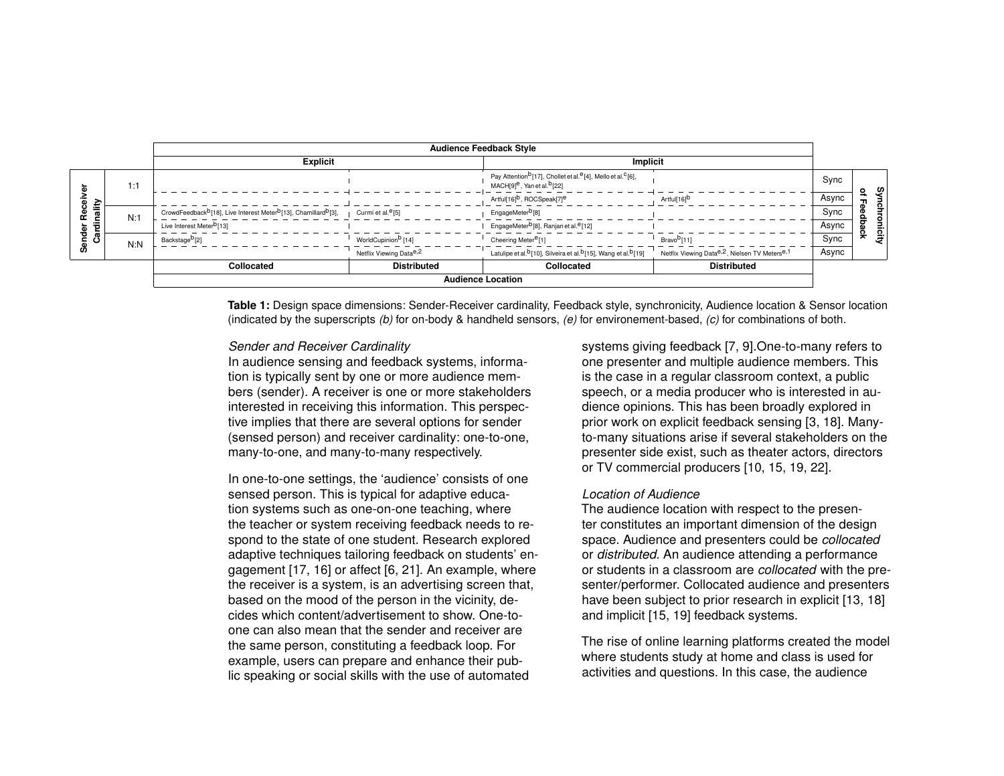

<span id="page-2-0"></span>**Table 1:** Design space dimensions: Sender-Receiver cardinality, Feedback style, synchronicity, Audience location & Sensor location (indicated by the superscripts *(b)* for on-body & handheld sensors, *(e)* for environement-based, *(c)* for combinations of both.

#### *Sender and Receiver Cardinality*

In audience sensing and feedback systems, information is typically sent by one or more audience members (sender). A receiver is one or more stakeholders interested in receiving this information. This perspective implies that there are several options for sender (sensed person) and receiver cardinality: one-to-one, many-to-one, and many-to-many respectively.

In one-to-one settings, the 'audience' consists of one sensed person. This is typical for adaptive education systems such as one-on-one teaching, where the teacher or system receiving feedback needs to respond to the state of one student. Research explored adaptive techniques tailoring feedback on students' engagement [\[17,](#page-5-7) [16\]](#page-5-5) or affect [\[6,](#page-4-0) [21\]](#page-5-15). An example, where the receiver is a system, is an advertising screen that, based on the mood of the person in the vicinity, decides which content/advertisement to show. One-toone can also mean that the sender and receiver are the same person, constituting a feedback loop. For example, users can prepare and enhance their public speaking or social skills with the use of automated

systems giving feedback [\[7,](#page-5-10) [9\]](#page-5-8).One-to-many refers to one presenter and multiple audience members. This is the case in a regular classroom context, a public speech, or a media producer who is interested in audience opinions. This has been broadly explored in prior work on explicit feedback sensing [\[3,](#page-4-3) [18\]](#page-5-3). Manyto-many situations arise if several stakeholders on the presenter side exist, such as theater actors, directors or TV commercial producers [\[10,](#page-5-1) [15,](#page-5-2) [19,](#page-5-4) [22\]](#page-5-9).

## *Location of Audience*

The audience location with respect to the presenter constitutes an important dimension of the design space. Audience and presenters could be *collocated* or *distributed*. An audience attending a performance or students in a classroom are *collocated* with the presenter/performer. Collocated audience and presenters have been subject to prior research in explicit [\[13,](#page-5-11) [18\]](#page-5-3) and implicit [\[15,](#page-5-2) [19\]](#page-5-4) feedback systems.

The rise of online learning platforms created the model where students study at home and class is used for activities and questions. In this case, the audience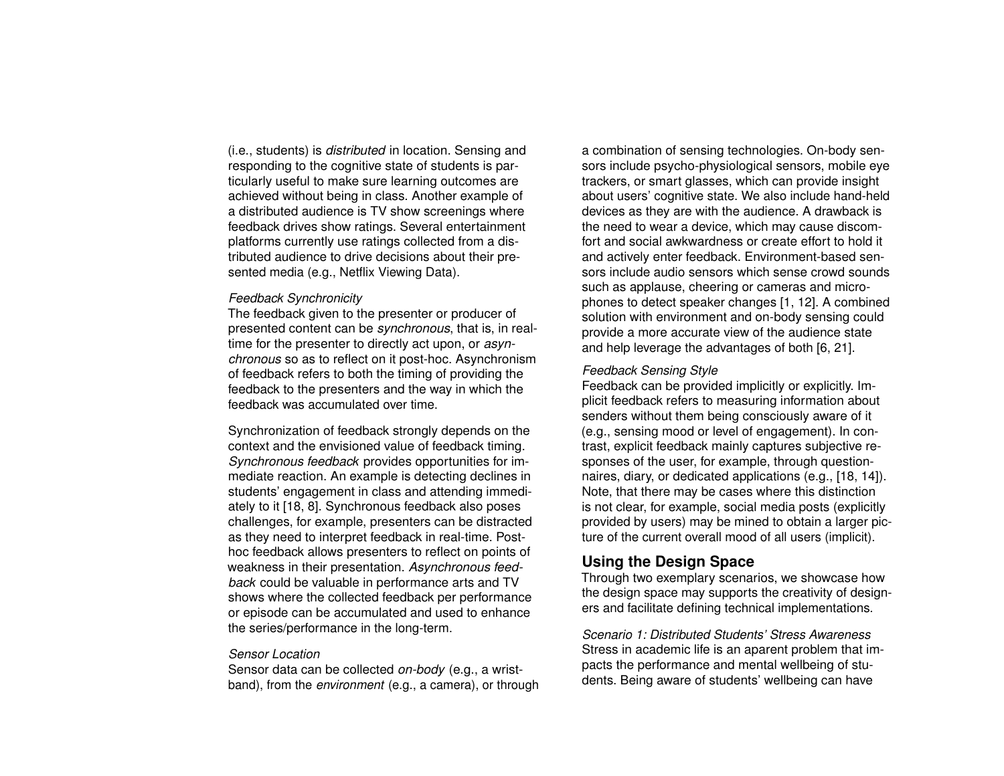(i.e., students) is *distributed* in location. Sensing and responding to the cognitive state of students is particularly useful to make sure learning outcomes are achieved without being in class. Another example of a distributed audience is TV show screenings where feedback drives show ratings. Several entertainment platforms currently use ratings collected from a distributed audience to drive decisions about their presented media (e.g., Netflix Viewing Data).

### *Feedback Synchronicity*

The feedback given to the presenter or producer of presented content can be *synchronous*, that is, in realtime for the presenter to directly act upon, or *asynchronous* so as to reflect on it post-hoc. Asynchronism of feedback refers to both the timing of providing the feedback to the presenters and the way in which the feedback was accumulated over time.

Synchronization of feedback strongly depends on the context and the envisioned value of feedback timing. *Synchronous feedback* provides opportunities for immediate reaction. An example is detecting declines in students' engagement in class and attending immediately to it [\[18,](#page-5-3) [8\]](#page-5-0). Synchronous feedback also poses challenges, for example, presenters can be distracted as they need to interpret feedback in real-time. Posthoc feedback allows presenters to reflect on points of weakness in their presentation. *Asynchronous feedback* could be valuable in performance arts and TV shows where the collected feedback per performance or episode can be accumulated and used to enhance the series/performance in the long-term.

## *Sensor Location*

Sensor data can be collected *on-body* (e.g., a wristband), from the *environment* (e.g., a camera), or through a combination of sensing technologies. On-body sensors include psycho-physiological sensors, mobile eye trackers, or smart glasses, which can provide insight about users' cognitive state. We also include hand-held devices as they are with the audience. A drawback is the need to wear a device, which may cause discomfort and social awkwardness or create effort to hold it and actively enter feedback. Environment-based sensors include audio sensors which sense crowd sounds such as applause, cheering or cameras and microphones to detect speaker changes [\[1,](#page-4-5) [12\]](#page-5-12). A combined solution with environment and on-body sensing could provide a more accurate view of the audience state and help leverage the advantages of both [\[6,](#page-4-0) [21\]](#page-5-15).

## *Feedback Sensing Style*

Feedback can be provided implicitly or explicitly. Implicit feedback refers to measuring information about senders without them being consciously aware of it (e.g., sensing mood or level of engagement). In contrast, explicit feedback mainly captures subjective responses of the user, for example, through questionnaires, diary, or dedicated applications (e.g., [\[18,](#page-5-3) [14\]](#page-5-13)). Note, that there may be cases where this distinction is not clear, for example, social media posts (explicitly provided by users) may be mined to obtain a larger picture of the current overall mood of all users (implicit).

# **Using the Design Space**

Through two exemplary scenarios, we showcase how the design space may supports the creativity of designers and facilitate defining technical implementations.

*Scenario 1: Distributed Students' Stress Awareness* Stress in academic life is an aparent problem that impacts the performance and mental wellbeing of students. Being aware of students' wellbeing can have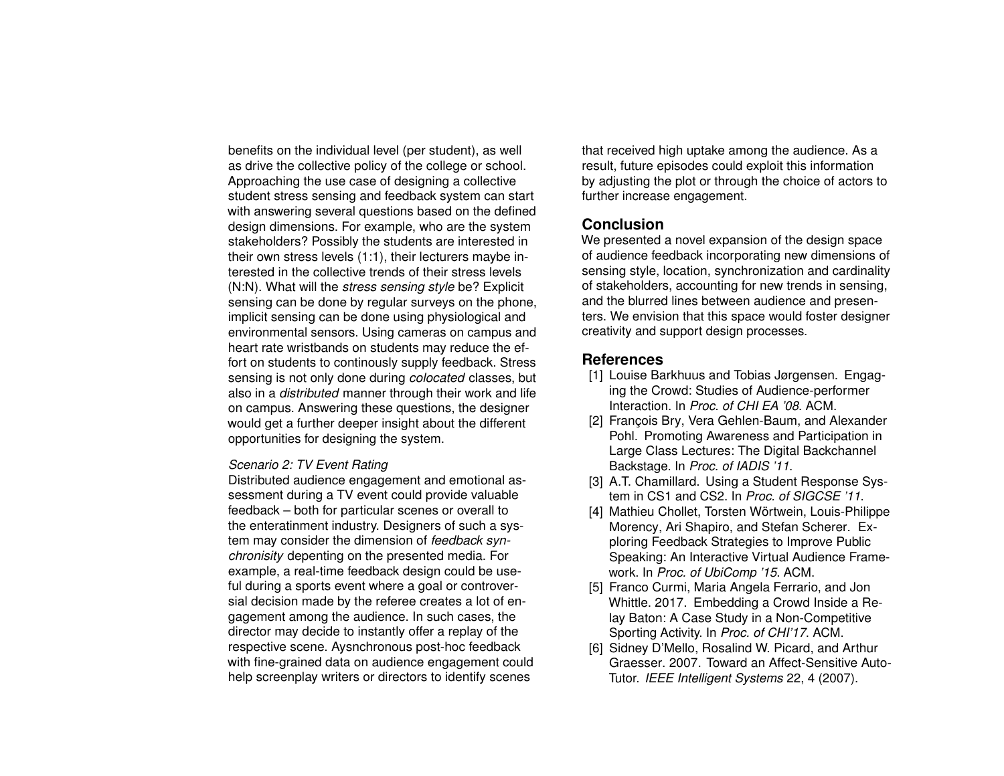benefits on the individual level (per student), as well as drive the collective policy of the college or school. Approaching the use case of designing a collective student stress sensing and feedback system can start with answering several questions based on the defined design dimensions. For example, who are the system stakeholders? Possibly the students are interested in their own stress levels (1:1), their lecturers maybe interested in the collective trends of their stress levels (N:N). What will the *stress sensing style* be? Explicit sensing can be done by regular surveys on the phone, implicit sensing can be done using physiological and environmental sensors. Using cameras on campus and heart rate wristbands on students may reduce the effort on students to continously supply feedback. Stress sensing is not only done during *colocated* classes, but also in a *distributed* manner through their work and life on campus. Answering these questions, the designer would get a further deeper insight about the different opportunities for designing the system.

#### *Scenario 2: TV Event Rating*

Distributed audience engagement and emotional assessment during a TV event could provide valuable feedback – both for particular scenes or overall to the enteratinment industry. Designers of such a system may consider the dimension of *feedback synchronisity* depenting on the presented media. For example, a real-time feedback design could be useful during a sports event where a goal or controversial decision made by the referee creates a lot of engagement among the audience. In such cases, the director may decide to instantly offer a replay of the respective scene. Aysnchronous post-hoc feedback with fine-grained data on audience engagement could help screenplay writers or directors to identify scenes

that received high uptake among the audience. As a result, future episodes could exploit this information by adjusting the plot or through the choice of actors to further increase engagement.

# **Conclusion**

We presented a novel expansion of the design space of audience feedback incorporating new dimensions of sensing style, location, synchronization and cardinality of stakeholders, accounting for new trends in sensing, and the blurred lines between audience and presenters. We envision that this space would foster designer creativity and support design processes.

## **References**

- <span id="page-4-5"></span>[1] Louise Barkhuus and Tobias Jørgensen. Engaging the Crowd: Studies of Audience-performer Interaction. In *Proc. of CHI EA '08*. ACM.
- <span id="page-4-1"></span>[2] François Bry, Vera Gehlen-Baum, and Alexander Pohl. Promoting Awareness and Participation in Large Class Lectures: The Digital Backchannel Backstage. In *Proc. of IADIS '11*.
- <span id="page-4-3"></span>[3] A.T. Chamillard. Using a Student Response System in CS1 and CS2. In *Proc. of SIGCSE '11*.
- <span id="page-4-2"></span>[4] Mathieu Chollet, Torsten Wörtwein, Louis-Philippe Morency, Ari Shapiro, and Stefan Scherer. Exploring Feedback Strategies to Improve Public Speaking: An Interactive Virtual Audience Framework. In *Proc. of UbiComp '15*. ACM.
- <span id="page-4-4"></span>[5] Franco Curmi, Maria Angela Ferrario, and Jon Whittle. 2017. Embedding a Crowd Inside a Relay Baton: A Case Study in a Non-Competitive Sporting Activity. In *Proc. of CHI'17*. ACM.
- <span id="page-4-0"></span>[6] Sidney D'Mello, Rosalind W. Picard, and Arthur Graesser. 2007. Toward an Affect-Sensitive Auto-Tutor. *IEEE Intelligent Systems* 22, 4 (2007).